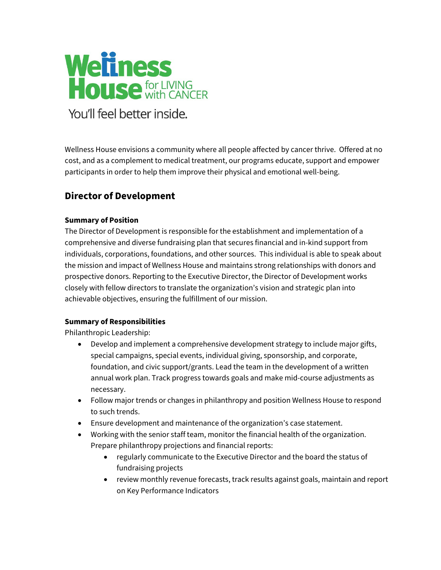

You'll feel better inside.

Wellness House envisions a community where all people affected by cancer thrive. Offered at no cost, and as a complement to medical treatment, our programs educate, support and empower participants in order to help them improve their physical and emotional well-being.

# **Director of Development**

## **Summary of Position**

The Director of Development is responsible for the establishment and implementation of a comprehensive and diverse fundraising plan that secures financial and in-kind support from individuals, corporations, foundations, and other sources. This individual is able to speak about the mission and impact of Wellness House and maintains strong relationships with donors and prospective donors. Reporting to the Executive Director, the Director of Development works closely with fellow directors to translate the organization's vision and strategic plan into achievable objectives, ensuring the fulfillment of our mission.

## **Summary of Responsibilities**

Philanthropic Leadership:

- Develop and implement a comprehensive development strategy to include major gifts, special campaigns, special events, individual giving, sponsorship, and corporate, foundation, and civic support/grants. Lead the team in the development of a written annual work plan. Track progress towards goals and make mid-course adjustments as necessary.
- Follow major trends or changes in philanthropy and position Wellness House to respond to such trends.
- Ensure development and maintenance of the organization's case statement.
- Working with the senior staff team, monitor the financial health of the organization. Prepare philanthropy projections and financial reports:
	- regularly communicate to the Executive Director and the board the status of fundraising projects
	- review monthly revenue forecasts, track results against goals, maintain and report on Key Performance Indicators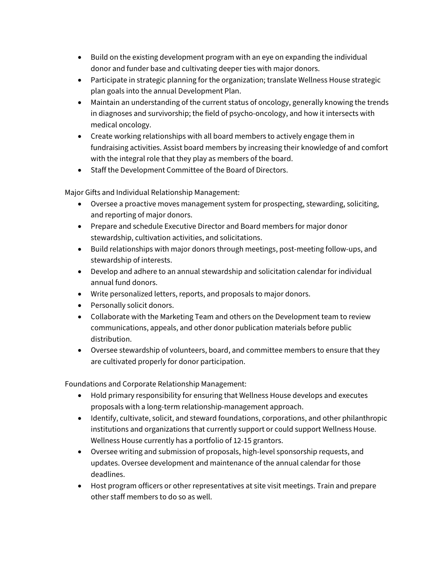- Build on the existing development program with an eye on expanding the individual donor and funder base and cultivating deeper ties with major donors.
- Participate in strategic planning for the organization; translate Wellness House strategic plan goals into the annual Development Plan.
- Maintain an understanding of the current status of oncology, generally knowing the trends in diagnoses and survivorship; the field of psycho-oncology, and how it intersects with medical oncology.
- Create working relationships with all board members to actively engage them in fundraising activities. Assist board members by increasing their knowledge of and comfort with the integral role that they play as members of the board.
- Staff the Development Committee of the Board of Directors.

Major Gifts and Individual Relationship Management:

- Oversee a proactive moves management system for prospecting, stewarding, soliciting, and reporting of major donors.
- Prepare and schedule Executive Director and Board members for major donor stewardship, cultivation activities, and solicitations.
- Build relationships with major donors through meetings, post-meeting follow-ups, and stewardship of interests.
- Develop and adhere to an annual stewardship and solicitation calendar for individual annual fund donors.
- Write personalized letters, reports, and proposals to major donors.
- Personally solicit donors.
- Collaborate with the Marketing Team and others on the Development team to review communications, appeals, and other donor publication materials before public distribution.
- Oversee stewardship of volunteers, board, and committee members to ensure that they are cultivated properly for donor participation.

Foundations and Corporate Relationship Management:

- Hold primary responsibility for ensuring that Wellness House develops and executes proposals with a long-term relationship-management approach.
- Identify, cultivate, solicit, and steward foundations, corporations, and other philanthropic institutions and organizations that currently support or could support Wellness House. Wellness House currently has a portfolio of 12-15 grantors.
- Oversee writing and submission of proposals, high-level sponsorship requests, and updates. Oversee development and maintenance of the annual calendar for those deadlines.
- Host program officers or other representatives at site visit meetings. Train and prepare other staff members to do so as well.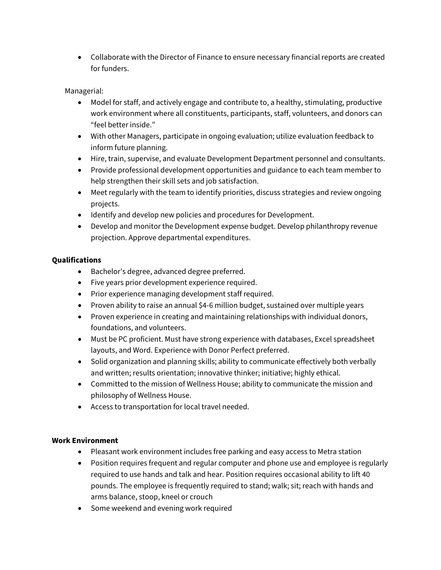• Collaborate with the Director of Finance to ensure necessary financial reports are created for funders.

Managerial:

- Model for staff, and actively engage and contribute to, a healthy, stimulating, productive work environment where all constituents, participants, staff, volunteers, and donors can "feel better inside."
- With other Managers, participate in ongoing evaluation; utilize evaluation feedback to inform future planning.
- Hire, train, supervise, and evaluate Development Department personnel and consultants.
- Provide professional development opportunities and guidance to each team member to help strengthen their skill sets and job satisfaction.
- Meet regularly with the team to identify priorities, discuss strategies and review ongoing projects.
- Identify and develop new policies and procedures for Development.
- Develop and monitor the Development expense budget. Develop philanthropy revenue projection. Approve departmental expenditures.

## **Qualifications**

- Bachelor's degree, advanced degree preferred.
- Five years prior development experience required.
- Prior experience managing development staff required.
- Proven ability to raise an annual \$4-6 million budget, sustained over multiple years
- Proven experience in creating and maintaining relationships with individual donors, foundations, and volunteers.
- Must be PC proficient. Must have strong experience with databases, Excel spreadsheet layouts, and Word. Experience with Donor Perfect preferred.
- Solid organization and planning skills; ability to communicate effectively both verbally and written; results orientation; innovative thinker; initiative; highly ethical.
- Committed to the mission of Wellness House; ability to communicate the mission and philosophy of Wellness House.
- Access to transportation for local travel needed.

#### **Work Environment**

- Pleasant work environment includes free parking and easy access to Metra station
- Position requires frequent and regular computer and phone use and employee is regularly required to use hands and talk and hear. Position requires occasional ability to lift 40 pounds. The employee is frequently required to stand; walk; sit; reach with hands and arms balance, stoop, kneel or crouch
- Some weekend and evening work required